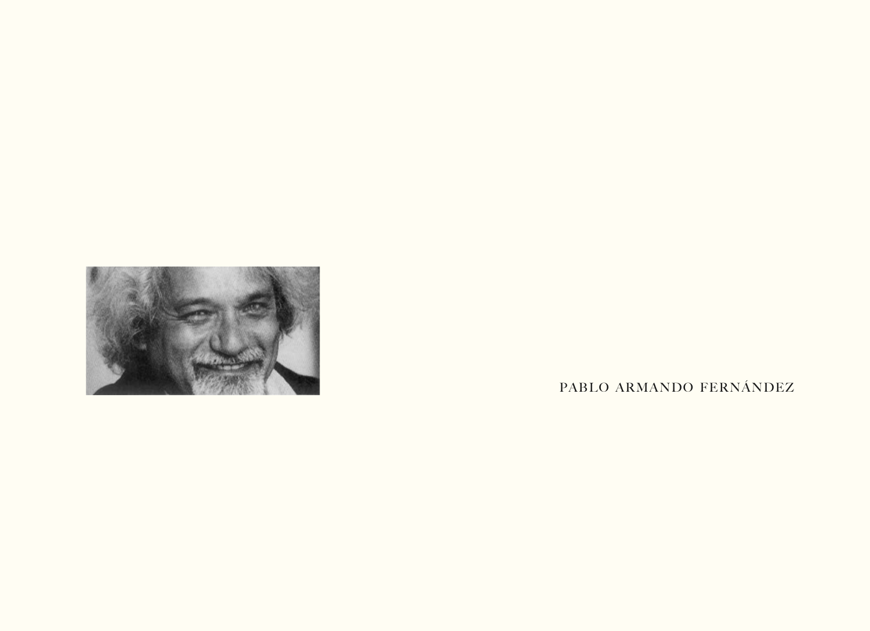

PABLO ARMANDO FERNÁNDEZ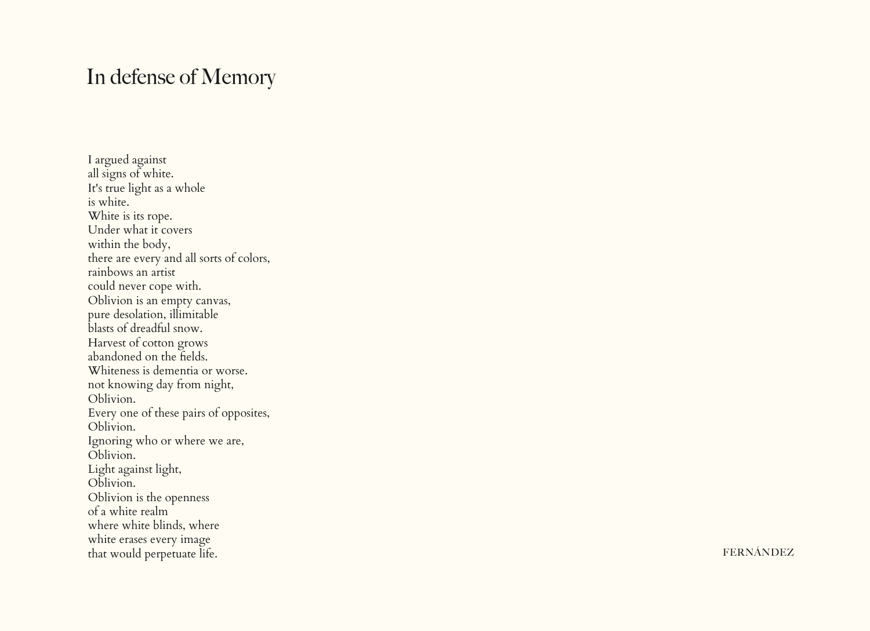## In defense of Memory

I argued against all signs of white. It's true light as a whole is white. White is its rope. Under what it covers within the body, there are every and all sorts of colors, rainbows an artist could never cope with. Oblivion is an empty canvas, pure desolation, illimitable blasts of dreadful snow. Harvest of cotton grows abandoned on the fields. Whiteness is dementia or worse. not knowing day from night, Oblivion. Every one of these pairs of opposites, Oblivion. Ignoring who or where we are, Oblivion. Light against light, Oblivion. Oblivion is the openness of a white realm where white blinds, where white erases every image that would perpetuate life.

FERNÁNDEZ